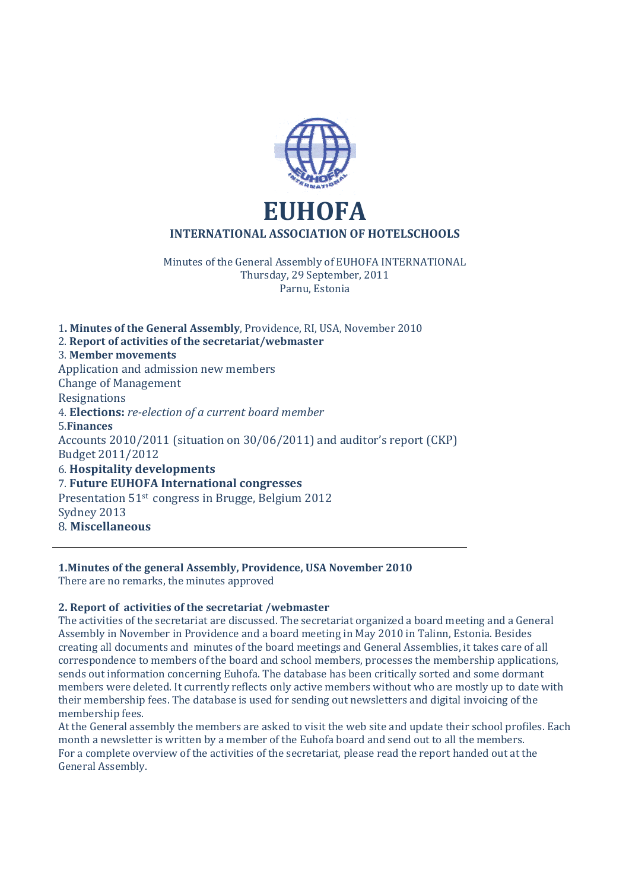

Minutes of the General Assembly of EUHOFA INTERNATIONAL Thursday, 29 September, 2011 Parnu, Estonia

1**. Minutes of the General Assembly**, Providence, RI, USA, November 2010 2. **Report of activities of the secretariat/webmaster**  3. **Member movements** Application and admission new members Change of Management Resignations 4. **Elections:** *re-election of a current board member* 5.**Finances** Accounts 2010/2011 (situation on 30/06/2011) and auditor's report (CKP) Budget 2011/2012 6. **Hospitality developments** 7. **Future EUHOFA International congresses** Presentation 51st congress in Brugge, Belgium 2012 Sydney 2013 8*.* **Miscellaneous** 

# **1.Minutes of the general Assembly, Providence, USA November 2010**

There are no remarks, the minutes approved

# **2. Report of activities of the secretariat /webmaster**

The activities of the secretariat are discussed. The secretariat organized a board meeting and a General Assembly in November in Providence and a board meeting in May 2010 in Talinn, Estonia. Besides creating all documents and minutes of the board meetings and General Assemblies, it takes care of all correspondence to members of the board and school members, processes the membership applications, sends out information concerning Euhofa. The database has been critically sorted and some dormant members were deleted. It currently reflects only active members without who are mostly up to date with their membership fees. The database is used for sending out newsletters and digital invoicing of the membership fees.

At the General assembly the members are asked to visit the web site and update their school profiles. Each month a newsletter is written by a member of the Euhofa board and send out to all the members. For a complete overview of the activities of the secretariat, please read the report handed out at the General Assembly.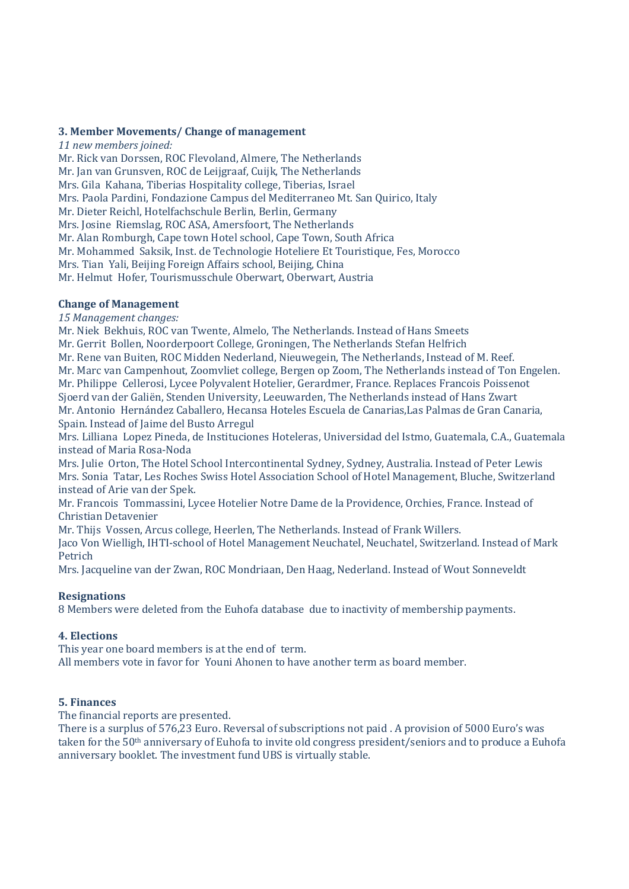### **3. Member Movements/ Change of management**

*11 new members joined:*  Mr. Rick van Dorssen, ROC Flevoland, Almere, The Netherlands Mr. Jan van Grunsven, ROC de Leijgraaf, Cuijk, The Netherlands Mrs. Gila Kahana, Tiberias Hospitality college, Tiberias, Israel Mrs. Paola Pardini, Fondazione Campus del Mediterraneo Mt. San Quirico, Italy Mr. Dieter Reichl, Hotelfachschule Berlin, Berlin, Germany Mrs. Josine Riemslag, ROC ASA, Amersfoort, The Netherlands Mr. Alan Romburgh, Cape town Hotel school, Cape Town, South Africa Mr. Mohammed Saksik, Inst. de Technologie Hoteliere Et Touristique, Fes, Morocco Mrs. Tian Yali, Beijing Foreign Affairs school, Beijing, China Mr. Helmut Hofer, Tourismusschule Oberwart, Oberwart, Austria

## **Change of Management**

*15 Management changes:* 

Mr. Niek Bekhuis, ROC van Twente, Almelo, The Netherlands. Instead of Hans Smeets

Mr. Gerrit Bollen, Noorderpoort College, Groningen, The Netherlands Stefan Helfrich

Mr. Rene van Buiten, ROC Midden Nederland, Nieuwegein, The Netherlands, Instead of M. Reef. Mr. Marc van Campenhout, Zoomvliet college, Bergen op Zoom, The Netherlands instead of Ton Engelen. Mr. Philippe Cellerosi, Lycee Polyvalent Hotelier, Gerardmer, France. Replaces Francois Poissenot Sjoerd van der Galiën, Stenden University, Leeuwarden, The Netherlands instead of Hans Zwart Mr. Antonio Hernández Caballero, Hecansa Hoteles Escuela de Canarias,Las Palmas de Gran Canaria, Spain. Instead of Jaime del Busto Arregul

Mrs. Lilliana Lopez Pineda, de Instituciones Hoteleras, Universidad del Istmo, Guatemala, C.A., Guatemala instead of Maria Rosa-Noda

Mrs. Julie Orton, The Hotel School Intercontinental Sydney, Sydney, Australia. Instead of Peter Lewis Mrs. Sonia Tatar, Les Roches Swiss Hotel Association School of Hotel Management, Bluche, Switzerland instead of Arie van der Spek.

Mr. Francois Tommassini, Lycee Hotelier Notre Dame de la Providence, Orchies, France. Instead of Christian Detavenier

Mr. Thijs Vossen, Arcus college, Heerlen, The Netherlands. Instead of Frank Willers.

Jaco Von Wielligh, IHTI-school of Hotel Management Neuchatel, Neuchatel, Switzerland. Instead of Mark Petrich

Mrs. Jacqueline van der Zwan, ROC Mondriaan, Den Haag, Nederland. Instead of Wout Sonneveldt

## **Resignations**

8 Members were deleted from the Euhofa database due to inactivity of membership payments.

## **4. Elections**

This year one board members is at the end of term. All members vote in favor for Youni Ahonen to have another term as board member.

## **5. Finances**

The financial reports are presented.

There is a surplus of 576,23 Euro. Reversal of subscriptions not paid . A provision of 5000 Euro's was taken for the 50th anniversary of Euhofa to invite old congress president/seniors and to produce a Euhofa anniversary booklet. The investment fund UBS is virtually stable.